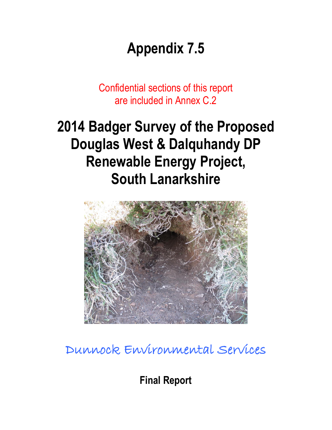# **Appendix 7.5**

Confidential sections of this report are included in Annex C.2

# **2014 Badger Survey of the Proposed Douglas West & Dalquhandy DP Renewable Energy Project, South Lanarkshire**



## Dunnock Environmental Services

**Final Report**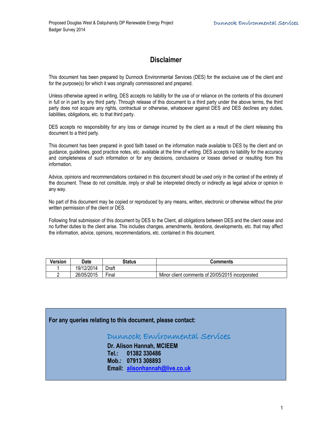### **Disclaimer**

This document has been prepared by Dunnock Environmental Services (DES) for the exclusive use of the client and for the purpose(s) for which it was originally commissioned and prepared.

Unless otherwise agreed in writing, DES accepts no liability for the use of or reliance on the contents of this document in full or in part by any third party. Through release of this document to a third party under the above terms, the third party does not acquire any rights, contractual or otherwise, whatsoever against DES and DES declines any duties, liabilities, obligations, etc. to that third party.

DES accepts no responsibility for any loss or damage incurred by the client as a result of the client releasing this document to a third party.

This document has been prepared in good faith based on the information made available to DES by the client and on guidance, guidelines, good practice notes, etc. available at the time of writing. DES accepts no liability for the accuracy and completeness of such information or for any decisions, conclusions or losses derived or resulting from this information.

Advice, opinions and recommendations contained in this document should be used only in the context of the entirety of the document. These do not constitute, imply or shall be interpreted directly or indirectly as legal advice or opinion in any way.

No part of this document may be copied or reproduced by any means, written, electronic or otherwise without the prior written permission of the client or DES.

Following final submission of this document by DES to the Client, all obligations between DES and the client cease and no further duties to the client arise. This includes changes, amendments, iterations, developments, etc. that may affect the information, advice, opinions, recommendations, etc. contained in this document.

| <b>Version</b> | Date       | Status      | Comments                                         |
|----------------|------------|-------------|--------------------------------------------------|
|                | 19/12/2014 | Draft       |                                                  |
|                | 26/05/2015 | --<br>Final | Minor client comments of 20/05/2015 incorporated |

#### **For any queries relating to this document, please contact:**

### Dunnock Environmental Services

**Dr. Alison Hannah, MCIEEM Tel.: 01382 330486 Mob.: 07913 308893 Email: [alisonhannah@live.co.uk](mailto:alisonhannah@live.co.uk)**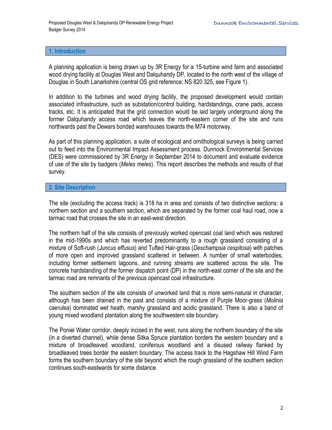#### **1. Introduction**

A planning application is being drawn up by 3R Energy for a 15-turbine wind farm and associated wood drying facility at Douglas West and Dalquhandy DP, located to the north west of the village of Douglas in South Lanarkshire (central OS grid reference: NS 820 325, see Figure 1).

In addition to the turbines and wood drying facility, the proposed development would contain associated infrastructure, such as substation/control building, hardstandings, crane pads, access tracks, etc. It is anticipated that the grid connection would be laid largely underground along the former Dalquhandy access road which leaves the north-eastern corner of the site and runs northwards past the Dewars bonded warehouses towards the M74 motorway.

As part of this planning application, a suite of ecological and ornithological surveys is being carried out to feed into the Environmental Impact Assessment process. Dunnock Environmental Services (DES) were commissioned by 3R Energy in September 2014 to document and evaluate evidence of use of the site by badgers (*Meles meles*). This report describes the methods and results of that survey.

#### **2. Site Description**

The site (excluding the access track) is 318 ha in area and consists of two distinctive sections: a northern section and a southern section, which are separated by the former coal haul road, now a tarmac road that crosses the site in an east-west direction.

The northern half of the site consists of previously worked opencast coal land which was restored in the mid-1990s and which has reverted predominantly to a rough grassland consisting of a mixture of Soft-rush (*Juncus effusus*) and Tufted Hair-grass (*Deschampsia cespitosa*) with patches of more open and improved grassland scattered in between. A number of small waterbodies, including former settlement lagoons, and running streams are scattered across the site. The concrete hardstanding of the former dispatch point (DP) in the north-east corner of the site and the tarmac road are remnants of the previous opencast coal infrastructure.

The southern section of the site consists of unworked land that is more semi-natural in character, although has been drained in the past and consists of a mixture of Purple Moor-grass (*Molinia caerulea*) dominated wet heath, marshy grassland and acidic grassland. There is also a band of young mixed woodland plantation along the southwestern site boundary.

The Poniel Water corridor, deeply incised in the west, runs along the northern boundary of the site (in a diverted channel), while dense Sitka Spruce plantation borders the western boundary and a mixture of broadleaved woodland, coniferous woodland and a disused railway flanked by broadleaved trees border the eastern boundary. The access track to the Hagshaw Hill Wind Farm forms the southern boundary of the site beyond which the rough grassland of the southern section continues south-eastwards for some distance.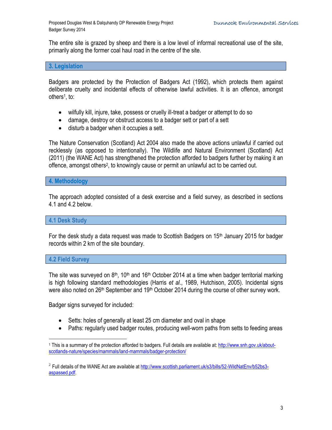The entire site is grazed by sheep and there is a low level of informal recreational use of the site, primarily along the former coal haul road in the centre of the site.

#### **3. Legislation**

Badgers are protected by the Protection of Badgers Act (1992), which protects them against deliberate cruelty and incidental effects of otherwise lawful activities. It is an offence, amongst others<sup>1</sup> , to:

- wilfully kill, injure, take, possess or cruelly ill-treat a badger or attempt to do so
- damage, destroy or obstruct access to a badger sett or part of a sett
- disturb a badger when it occupies a sett.

The Nature Conservation (Scotland) Act 2004 also made the above actions unlawful if carried out recklessly (as opposed to intentionally). The Wildlife and Natural Environment (Scotland) Act (2011) (the WANE Act) has strengthened the protection afforded to badgers further by making it an offence, amongst others<sup>2</sup>, to knowingly cause or permit an unlawful act to be carried out.

#### **4. Methodology**

The approach adopted consisted of a desk exercise and a field survey, as described in sections 4.1 and 4.2 below.

#### **4.1 Desk Study**

For the desk study a data request was made to Scottish Badgers on  $15<sup>th</sup>$  January 2015 for badger records within 2 km of the site boundary.

#### **4.2 Field Survey**

 $\overline{a}$ 

The site was surveyed on  $8<sup>th</sup>$ , 10<sup>th</sup> and 16<sup>th</sup> October 2014 at a time when badger territorial marking is high following standard methodologies (Harris *et al*., 1989, Hutchison, 2005). Incidental signs were also noted on 26<sup>th</sup> September and 19<sup>th</sup> October 2014 during the course of other survey work.

Badger signs surveyed for included:

- Setts: holes of generally at least 25 cm diameter and oval in shape
- Paths: regularly used badger routes, producing well-worn paths from setts to feeding areas

<sup>1</sup> This is a summary of the protection afforded to badgers. Full details are available at: [http://www.snh.gov.uk/about](http://www.snh.gov.uk/about-scotlands-nature/species/mammals/land-mammals/badger-protection/)[scotlands-nature/species/mammals/land-mammals/badger-protection/](http://www.snh.gov.uk/about-scotlands-nature/species/mammals/land-mammals/badger-protection/)

<sup>&</sup>lt;sup>2</sup> Full details of the WANE Act are available a[t http://www.scottish.parliament.uk/s3/bills/52-WildNatEnv/b52bs3](http://www.scottish.parliament.uk/s3/bills/52-WildNatEnv/b52bs3-aspassed.pdf) [aspassed.pdf.](http://www.scottish.parliament.uk/s3/bills/52-WildNatEnv/b52bs3-aspassed.pdf)